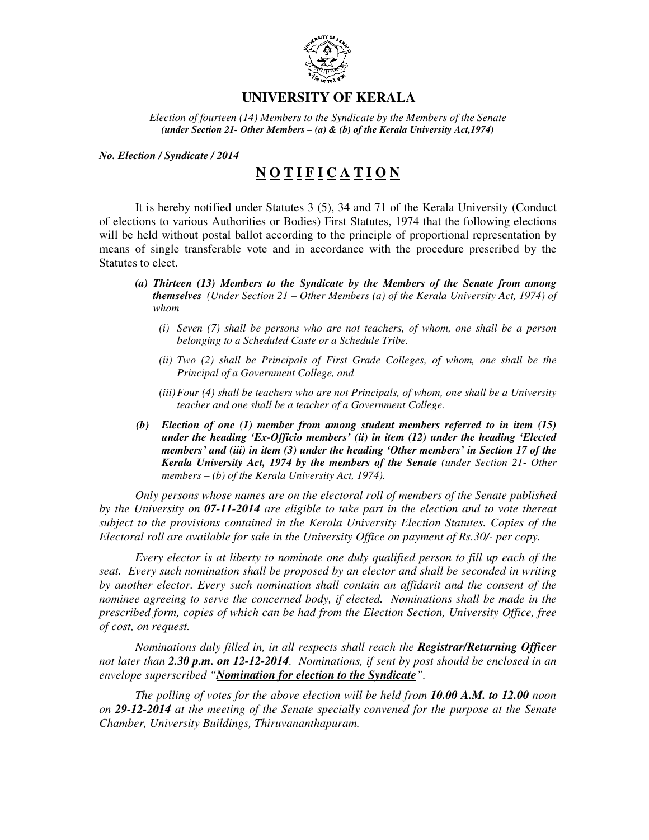

## **UNIVERSITY OF KERALA**

*Election of fourteen (14) Members to the Syndicate by the Members of the Senate (under Section 21- Other Members – (a) & (b) of the Kerala University Act,1974)* 

*No. Election / Syndicate / 2014* 

## **N O T I F I C A T I O N**

It is hereby notified under Statutes 3 (5), 34 and 71 of the Kerala University (Conduct of elections to various Authorities or Bodies) First Statutes, 1974 that the following elections will be held without postal ballot according to the principle of proportional representation by means of single transferable vote and in accordance with the procedure prescribed by the Statutes to elect.

- *(a) Thirteen (13) Members to the Syndicate by the Members of the Senate from among themselves (Under Section 21 – Other Members (a) of the Kerala University Act, 1974) of whom* 
	- *(i) Seven (7) shall be persons who are not teachers, of whom, one shall be a person belonging to a Scheduled Caste or a Schedule Tribe.*
	- *(ii) Two (2) shall be Principals of First Grade Colleges, of whom, one shall be the Principal of a Government College, and*
	- *(iii)Four (4) shall be teachers who are not Principals, of whom, one shall be a University teacher and one shall be a teacher of a Government College.*
- *(b) Election of one (1) member from among student members referred to in item (15) under the heading 'Ex-Officio members' (ii) in item (12) under the heading 'Elected members' and (iii) in item (3) under the heading 'Other members' in Section 17 of the Kerala University Act, 1974 by the members of the Senate (under Section 21- Other members – (b) of the Kerala University Act, 1974).*

*Only persons whose names are on the electoral roll of members of the Senate published by the University on 07-11-2014 are eligible to take part in the election and to vote thereat subject to the provisions contained in the Kerala University Election Statutes. Copies of the Electoral roll are available for sale in the University Office on payment of Rs.30/- per copy.* 

*Every elector is at liberty to nominate one duly qualified person to fill up each of the seat. Every such nomination shall be proposed by an elector and shall be seconded in writing by another elector. Every such nomination shall contain an affidavit and the consent of the nominee agreeing to serve the concerned body, if elected. Nominations shall be made in the prescribed form, copies of which can be had from the Election Section, University Office, free of cost, on request.* 

 *Nominations duly filled in, in all respects shall reach the Registrar/Returning Officer not later than 2.30 p.m. on 12-12-2014. Nominations, if sent by post should be enclosed in an envelope superscribed "Nomination for election to the Syndicate".* 

*The polling of votes for the above election will be held from 10.00 A.M. to 12.00 noon on 29-12-2014 at the meeting of the Senate specially convened for the purpose at the Senate Chamber, University Buildings, Thiruvananthapuram.*